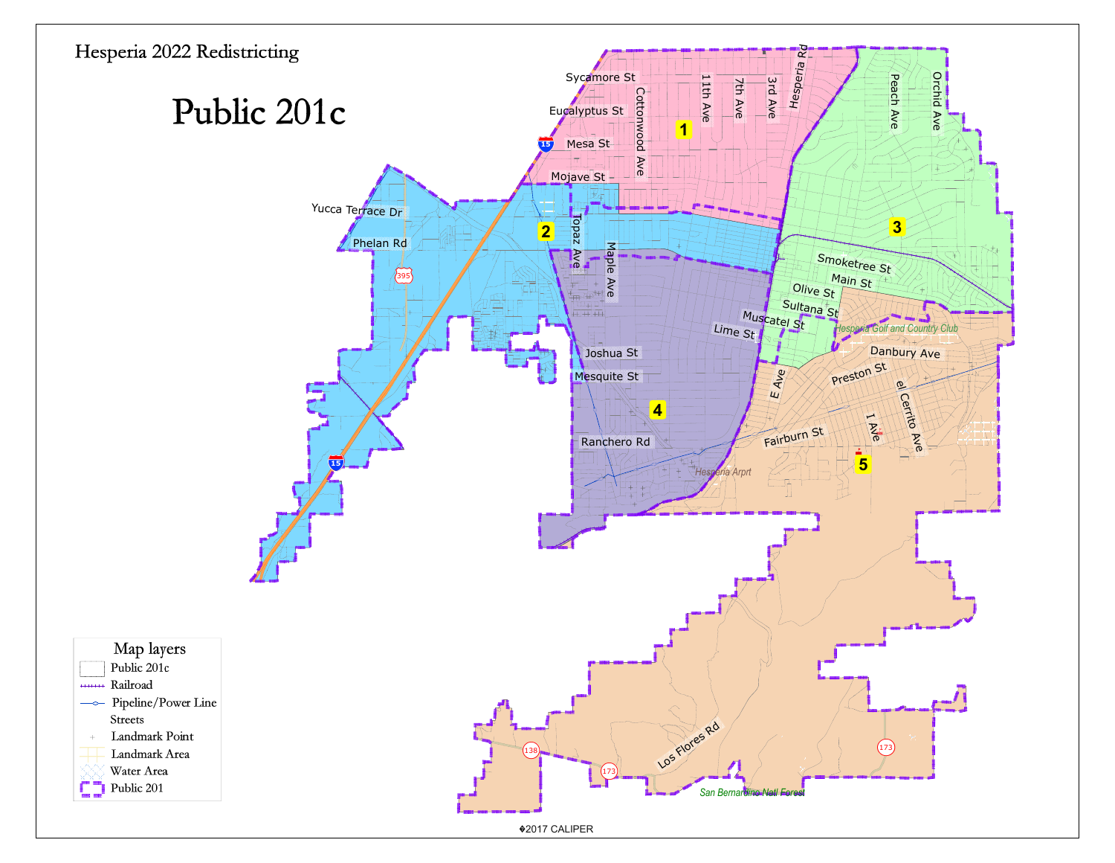